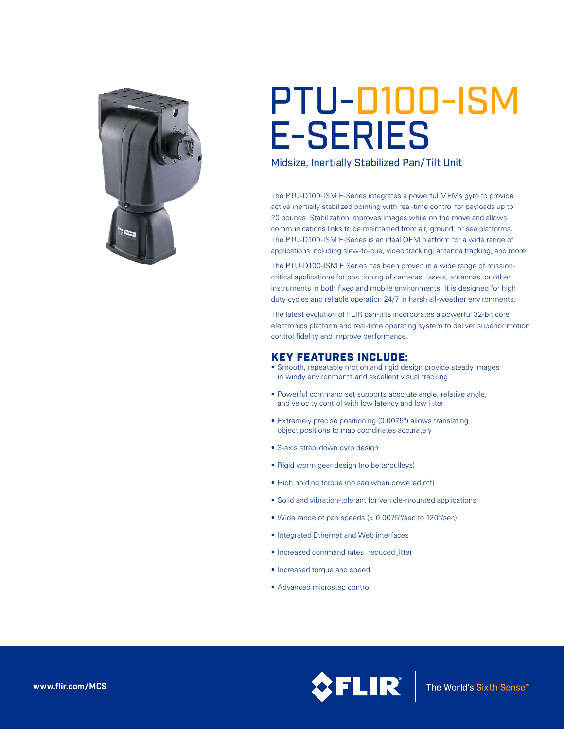

# PTU-D100-ISM E-SERIES

Midsize, Inertially Stabilized Pan/Tilt Unit

The PTU-D100-ISM E-Series integrates a powerful MEMs gyro to provide active inertially stabilized pointing with real-time control for payloads up to 20 pounds. Stabilization improves images while on the move and allows communications links to be maintained from air, ground, or sea platforms. The PTU-D100-ISM E-Series is an ideal OEM platform for a wide range of applications including slew-to-cue, video tracking, antenna tracking, and more.

The PTU-D100-ISM E Series has been proven in a wide range of missioncritical applications for positioning of cameras, lasers, antennas, or other instruments in both fixed and mobile environments. It is designed for high duty cycles and reliable operation 24/7 in harsh all-weather environments.

The latest evolution of FLIR pan-tilts incorporates a powerful 32-bit core electronics platform and real-time operating system to deliver superior motion control fidelity and improve performance.

## KEY FEATURES INCLUDE:

- Smooth, repeatable motion and rigid design provide steady images in windy environments and excellent visual tracking
- Powerful command set supports absolute angle, relative angle, and velocity control with low latency and low jitter
- Extremely precise positioning (0.0075°) allows translating object positions to map coordinates accurately
- 3-axis strap-down gyro design
- Rigid worm gear design (no belts/pulleys)
- High holding torque (no sag when powered off)
- Solid and vibration-tolerant for vehicle-mounted applications
- • Wide range of pan speeds (< 0.0075º/sec to 120º/sec)
- Integrated Ethernet and Web interfaces
- • Increased command rates, reduced jitter
- Increased torque and speed
- • Advanced microstep control